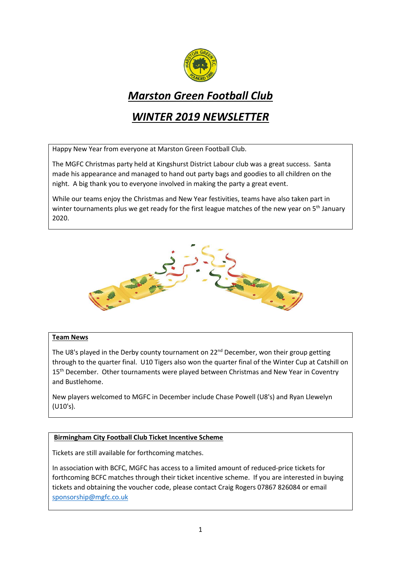

# *Marston Green Football Club*

## *WINTER 2019 NEWSLETTER*

Happy New Year from everyone at Marston Green Football Club.

The MGFC Christmas party held at Kingshurst District Labour club was a great success. Santa made his appearance and managed to hand out party bags and goodies to all children on the night. A big thank you to everyone involved in making the party a great event.

While our teams enjoy the Christmas and New Year festivities, teams have also taken part in winter tournaments plus we get ready for the first league matches of the new year on  $5<sup>th</sup>$  January 2020.



#### **Team News**

The U8's played in the Derby county tournament on 22<sup>nd</sup> December, won their group getting through to the quarter final. U10 Tigers also won the quarter final of the Winter Cup at Catshill on 15<sup>th</sup> December. Other tournaments were played between Christmas and New Year in Coventry and Bustlehome.

New players welcomed to MGFC in December include Chase Powell (U8's) and Ryan Llewelyn (U10's).

## **Birmingham City Football Club Ticket Incentive Scheme**

Tickets are still available for forthcoming matches.

In association with BCFC, MGFC has access to a limited amount of reduced-price tickets for forthcoming BCFC matches through their ticket incentive scheme. If you are interested in buying tickets and obtaining the voucher code, please contact Craig Rogers 07867 826084 or email [sponsorship@mgfc.co.uk](mailto:sponsorship@mgfc.co.uk)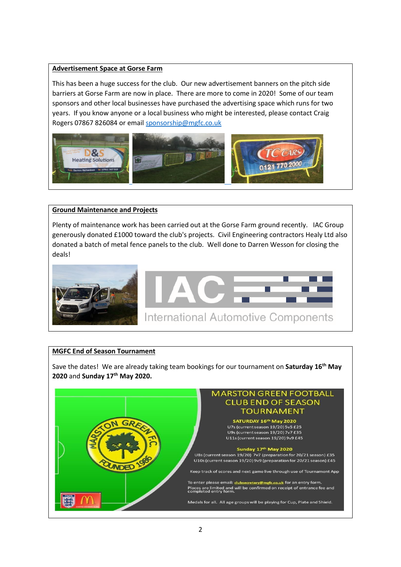## **Advertisement Space at Gorse Farm**

This has been a huge success for the club. Our new advertisement banners on the pitch side barriers at Gorse Farm are now in place. There are more to come in 2020! Some of our team sponsors and other local businesses have purchased the advertising space which runs for two years. If you know anyone or a local business who might be interested, please contact Craig Rogers 07867 826084 or email [sponsorship@mgfc.co.uk](mailto:sponsorship@mgfc.co.uk)



#### **Ground Maintenance and Projects**

Plenty of maintenance work has been carried out at the Gorse Farm ground recently. IAC Group generously donated £1000 toward the club's projects. Civil Engineering contractors Healy Ltd also donated a batch of metal fence panels to the club. Well done to Darren Wesson for closing the deals!



## **MGFC End of Season Tournament**

Save the dates! We are already taking team bookings for our tournament on **Saturday 16th May 2020** and **Sunday 17th May 2020.**